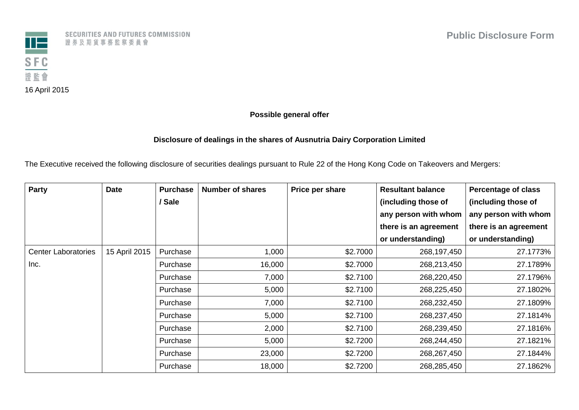

SECURITIES AND FUTURES COMMISSION 證券及期貨事務監察委員會

## **Possible general offer**

## **Disclosure of dealings in the shares of Ausnutria Dairy Corporation Limited**

The Executive received the following disclosure of securities dealings pursuant to Rule 22 of the Hong Kong Code on Takeovers and Mergers:

| Party                      | <b>Date</b>   | <b>Purchase</b> | <b>Number of shares</b> | Price per share | <b>Resultant balance</b> | <b>Percentage of class</b> |
|----------------------------|---------------|-----------------|-------------------------|-----------------|--------------------------|----------------------------|
|                            |               | / Sale          |                         |                 | (including those of      | (including those of        |
|                            |               |                 |                         |                 | any person with whom     | any person with whom       |
|                            |               |                 |                         |                 | there is an agreement    | there is an agreement      |
|                            |               |                 |                         |                 | or understanding)        | or understanding)          |
| <b>Center Laboratories</b> | 15 April 2015 | Purchase        | 1,000                   | \$2.7000        | 268,197,450              | 27.1773%                   |
| Inc.                       |               | Purchase        | 16,000                  | \$2.7000        | 268,213,450              | 27.1789%                   |
|                            |               | Purchase        | 7,000                   | \$2.7100        | 268,220,450              | 27.1796%                   |
|                            |               | Purchase        | 5,000                   | \$2.7100        | 268,225,450              | 27.1802%                   |
|                            |               | Purchase        | 7,000                   | \$2.7100        | 268,232,450              | 27.1809%                   |
|                            |               | Purchase        | 5,000                   | \$2.7100        | 268,237,450              | 27.1814%                   |
|                            |               | Purchase        | 2,000                   | \$2.7100        | 268,239,450              | 27.1816%                   |
|                            |               | Purchase        | 5,000                   | \$2.7200        | 268,244,450              | 27.1821%                   |
|                            |               | Purchase        | 23,000                  | \$2.7200        | 268,267,450              | 27.1844%                   |
|                            |               | Purchase        | 18,000                  | \$2.7200        | 268,285,450              | 27.1862%                   |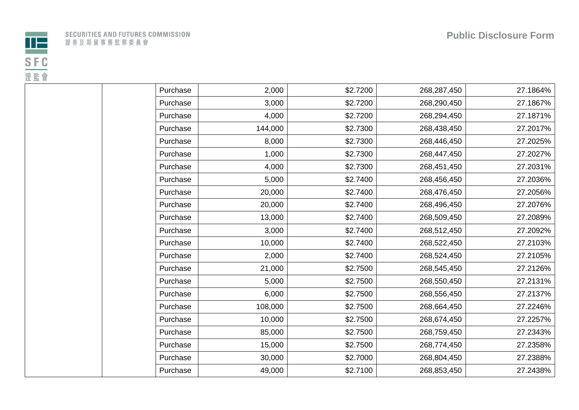

| Purchase | 2,000   | \$2.7200 | 268,287,450 | 27.1864% |
|----------|---------|----------|-------------|----------|
| Purchase | 3,000   | \$2.7200 | 268,290,450 | 27.1867% |
| Purchase | 4,000   | \$2.7200 | 268,294,450 | 27.1871% |
| Purchase | 144,000 | \$2.7300 | 268,438,450 | 27.2017% |
| Purchase | 8,000   | \$2.7300 | 268,446,450 | 27.2025% |
| Purchase | 1,000   | \$2.7300 | 268,447,450 | 27.2027% |
| Purchase | 4,000   | \$2.7300 | 268,451,450 | 27.2031% |
| Purchase | 5,000   | \$2.7400 | 268,456,450 | 27.2036% |
| Purchase | 20,000  | \$2.7400 | 268,476,450 | 27.2056% |
| Purchase | 20,000  | \$2.7400 | 268,496,450 | 27.2076% |
| Purchase | 13,000  | \$2.7400 | 268,509,450 | 27.2089% |
| Purchase | 3,000   | \$2.7400 | 268,512,450 | 27.2092% |
| Purchase | 10,000  | \$2.7400 | 268,522,450 | 27.2103% |
| Purchase | 2,000   | \$2.7400 | 268,524,450 | 27.2105% |
| Purchase | 21,000  | \$2.7500 | 268,545,450 | 27.2126% |
| Purchase | 5,000   | \$2.7500 | 268,550,450 | 27.2131% |
| Purchase | 6,000   | \$2.7500 | 268,556,450 | 27.2137% |
| Purchase | 108,000 | \$2.7500 | 268,664,450 | 27.2246% |
| Purchase | 10,000  | \$2.7500 | 268,674,450 | 27.2257% |
| Purchase | 85,000  | \$2.7500 | 268,759,450 | 27.2343% |
| Purchase | 15,000  | \$2.7500 | 268,774,450 | 27.2358% |
| Purchase | 30,000  | \$2.7000 | 268,804,450 | 27.2388% |
| Purchase | 49,000  | \$2.7100 | 268,853,450 | 27.2438% |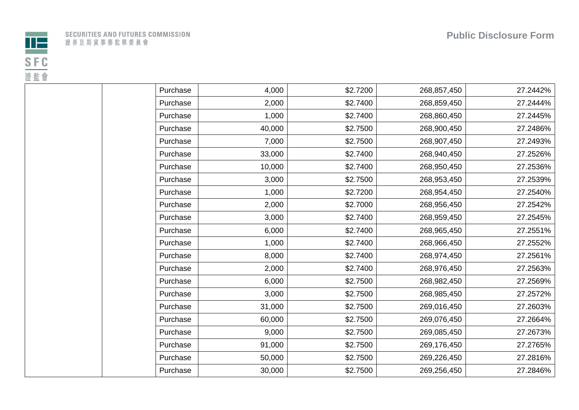

| Purchase | 4,000  | \$2.7200 | 268,857,450 | 27.2442% |
|----------|--------|----------|-------------|----------|
| Purchase | 2,000  | \$2.7400 | 268,859,450 | 27.2444% |
| Purchase | 1,000  | \$2.7400 | 268,860,450 | 27.2445% |
| Purchase | 40,000 | \$2.7500 | 268,900,450 | 27.2486% |
| Purchase | 7,000  | \$2.7500 | 268,907,450 | 27.2493% |
| Purchase | 33,000 | \$2.7400 | 268,940,450 | 27.2526% |
| Purchase | 10,000 | \$2.7400 | 268,950,450 | 27.2536% |
| Purchase | 3,000  | \$2.7500 | 268,953,450 | 27.2539% |
| Purchase | 1,000  | \$2.7200 | 268,954,450 | 27.2540% |
| Purchase | 2,000  | \$2.7000 | 268,956,450 | 27.2542% |
| Purchase | 3,000  | \$2.7400 | 268,959,450 | 27.2545% |
| Purchase | 6,000  | \$2.7400 | 268,965,450 | 27.2551% |
| Purchase | 1,000  | \$2.7400 | 268,966,450 | 27.2552% |
| Purchase | 8,000  | \$2.7400 | 268,974,450 | 27.2561% |
| Purchase | 2,000  | \$2.7400 | 268,976,450 | 27.2563% |
| Purchase | 6,000  | \$2.7500 | 268,982,450 | 27.2569% |
| Purchase | 3,000  | \$2.7500 | 268,985,450 | 27.2572% |
| Purchase | 31,000 | \$2.7500 | 269,016,450 | 27.2603% |
| Purchase | 60,000 | \$2.7500 | 269,076,450 | 27.2664% |
| Purchase | 9,000  | \$2.7500 | 269,085,450 | 27.2673% |
| Purchase | 91,000 | \$2.7500 | 269,176,450 | 27.2765% |
| Purchase | 50,000 | \$2.7500 | 269,226,450 | 27.2816% |
| Purchase | 30,000 | \$2.7500 | 269,256,450 | 27.2846% |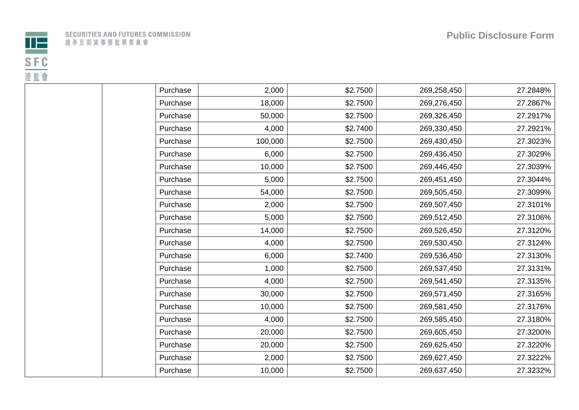

| Purchase | 2,000   | \$2.7500 | 269,258,450 | 27.2848% |
|----------|---------|----------|-------------|----------|
| Purchase | 18,000  | \$2.7500 | 269,276,450 | 27.2867% |
| Purchase | 50,000  | \$2.7500 | 269,326,450 | 27.2917% |
| Purchase | 4,000   | \$2.7400 | 269,330,450 | 27.2921% |
| Purchase | 100,000 | \$2.7500 | 269,430,450 | 27.3023% |
| Purchase | 6,000   | \$2.7500 | 269,436,450 | 27.3029% |
| Purchase | 10,000  | \$2.7500 | 269,446,450 | 27.3039% |
| Purchase | 5,000   | \$2.7500 | 269,451,450 | 27.3044% |
| Purchase | 54,000  | \$2.7500 | 269,505,450 | 27.3099% |
| Purchase | 2,000   | \$2.7500 | 269,507,450 | 27.3101% |
| Purchase | 5,000   | \$2.7500 | 269,512,450 | 27.3106% |
| Purchase | 14,000  | \$2.7500 | 269,526,450 | 27.3120% |
| Purchase | 4,000   | \$2.7500 | 269,530,450 | 27.3124% |
| Purchase | 6,000   | \$2.7400 | 269,536,450 | 27.3130% |
| Purchase | 1,000   | \$2.7500 | 269,537,450 | 27.3131% |
| Purchase | 4,000   | \$2.7500 | 269,541,450 | 27.3135% |
| Purchase | 30,000  | \$2.7500 | 269,571,450 | 27.3165% |
| Purchase | 10,000  | \$2.7500 | 269,581,450 | 27.3176% |
| Purchase | 4,000   | \$2.7500 | 269,585,450 | 27.3180% |
| Purchase | 20,000  | \$2.7500 | 269,605,450 | 27.3200% |
| Purchase | 20,000  | \$2.7500 | 269,625,450 | 27.3220% |
| Purchase | 2,000   | \$2.7500 | 269,627,450 | 27.3222% |
| Purchase | 10,000  | \$2.7500 | 269,637,450 | 27.3232% |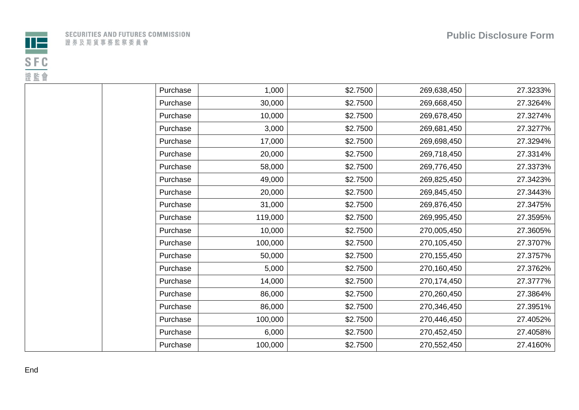



|  |  | SECURITIES AND FUTURES COMMISSION |  |  |  |  |  |  |  |
|--|--|-----------------------------------|--|--|--|--|--|--|--|
|  |  | 證券及期貨事務監察委員會                      |  |  |  |  |  |  |  |

| Purchase | 1,000   | \$2.7500 | 269,638,450 | 27.3233% |
|----------|---------|----------|-------------|----------|
|          |         |          |             |          |
| Purchase | 30,000  | \$2.7500 | 269,668,450 | 27.3264% |
| Purchase | 10,000  | \$2.7500 | 269,678,450 | 27.3274% |
| Purchase | 3,000   | \$2.7500 | 269,681,450 | 27.3277% |
| Purchase | 17,000  | \$2.7500 | 269,698,450 | 27.3294% |
| Purchase | 20,000  | \$2.7500 | 269,718,450 | 27.3314% |
| Purchase | 58,000  | \$2.7500 | 269,776,450 | 27.3373% |
| Purchase | 49,000  | \$2.7500 | 269,825,450 | 27.3423% |
| Purchase | 20,000  | \$2.7500 | 269,845,450 | 27.3443% |
| Purchase | 31,000  | \$2.7500 | 269,876,450 | 27.3475% |
| Purchase | 119,000 | \$2.7500 | 269,995,450 | 27.3595% |
| Purchase | 10,000  | \$2.7500 | 270,005,450 | 27.3605% |
| Purchase | 100,000 | \$2.7500 | 270,105,450 | 27.3707% |
| Purchase | 50,000  | \$2.7500 | 270,155,450 | 27.3757% |
| Purchase | 5,000   | \$2.7500 | 270,160,450 | 27.3762% |
| Purchase | 14,000  | \$2.7500 | 270,174,450 | 27.3777% |
| Purchase | 86,000  | \$2.7500 | 270,260,450 | 27.3864% |
| Purchase | 86,000  | \$2.7500 | 270,346,450 | 27.3951% |
| Purchase | 100,000 | \$2.7500 | 270,446,450 | 27.4052% |
| Purchase | 6,000   | \$2.7500 | 270,452,450 | 27.4058% |
| Purchase | 100,000 | \$2.7500 | 270,552,450 | 27.4160% |